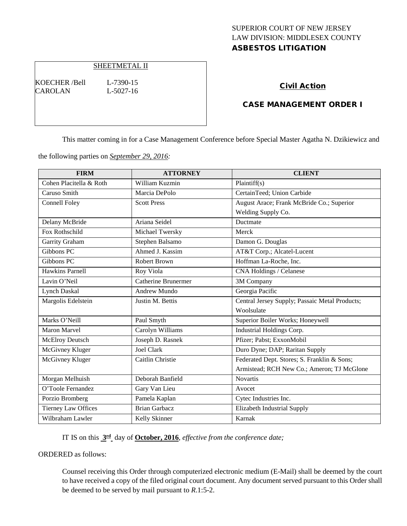# SUPERIOR COURT OF NEW JERSEY LAW DIVISION: MIDDLESEX COUNTY ASBESTOS LITIGATION

### SHEETMETAL II

KOECHER /Bell L-7390-15 CAROLAN L-5027-16

#### Civil Action

### CASE MANAGEMENT ORDER I

This matter coming in for a Case Management Conference before Special Master Agatha N. Dzikiewicz and

the following parties on *September 29, 2016:*

| <b>FIRM</b>                | <b>ATTORNEY</b>            | <b>CLIENT</b>                                  |
|----------------------------|----------------------------|------------------------------------------------|
| Cohen Placitella & Roth    | William Kuzmin             | Plaintiff(s)                                   |
| Caruso Smith               | Marcia DePolo              | CertainTeed; Union Carbide                     |
| <b>Connell Foley</b>       | <b>Scott Press</b>         | August Arace; Frank McBride Co.; Superior      |
|                            |                            | Welding Supply Co.                             |
| Delany McBride             | Ariana Seidel              | Ductmate                                       |
| Fox Rothschild             | Michael Twersky            | Merck                                          |
| Garrity Graham             | Stephen Balsamo            | Damon G. Douglas                               |
| Gibbons PC                 | Ahmed J. Kassim            | AT&T Corp.; Alcatel-Lucent                     |
| Gibbons PC                 | Robert Brown               | Hoffman La-Roche, Inc.                         |
| <b>Hawkins Parnell</b>     | Roy Viola                  | CNA Holdings / Celanese                        |
| Lavin O'Neil               | <b>Catherine Brunermer</b> | 3M Company                                     |
| Lynch Daskal               | Andrew Mundo               | Georgia Pacific                                |
| Margolis Edelstein         | Justin M. Bettis           | Central Jersey Supply; Passaic Metal Products; |
|                            |                            | Woolsulate                                     |
| Marks O'Neill              | Paul Smyth                 | Superior Boiler Works; Honeywell               |
| <b>Maron Marvel</b>        | Carolyn Williams           | Industrial Holdings Corp.                      |
| McElroy Deutsch            | Joseph D. Rasnek           | Pfizer; Pabst; ExxonMobil                      |
| McGivney Kluger            | Joel Clark                 | Duro Dyne; DAP; Raritan Supply                 |
| McGivney Kluger            | Caitlin Christie           | Federated Dept. Stores; S. Franklin & Sons;    |
|                            |                            | Armistead; RCH New Co.; Ameron; TJ McGlone     |
| Morgan Melhuish            | Deborah Banfield           | <b>Novartis</b>                                |
| O'Toole Fernandez          | Gary Van Lieu              | Avocet                                         |
| Porzio Bromberg            | Pamela Kaplan              | Cytec Industries Inc.                          |
| <b>Tierney Law Offices</b> | <b>Brian Garbacz</b>       | Elizabeth Industrial Supply                    |
| Wilbraham Lawler           | Kelly Skinner              | Karnak                                         |

IT IS on this **3rd** day of **October, 2016**, *effective from the conference date;*

ORDERED as follows:

Counsel receiving this Order through computerized electronic medium (E-Mail) shall be deemed by the court to have received a copy of the filed original court document. Any document served pursuant to this Order shall be deemed to be served by mail pursuant to *R*.1:5-2.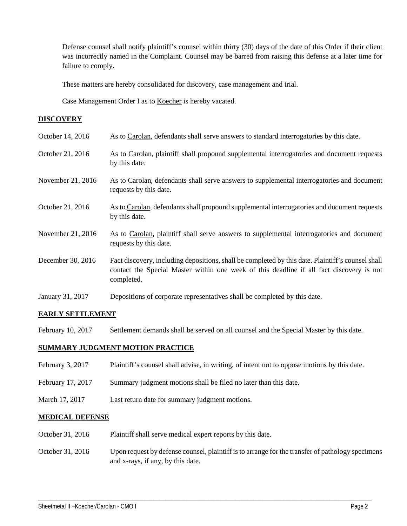Defense counsel shall notify plaintiff's counsel within thirty (30) days of the date of this Order if their client was incorrectly named in the Complaint. Counsel may be barred from raising this defense at a later time for failure to comply.

These matters are hereby consolidated for discovery, case management and trial.

Case Management Order I as to Koecher is hereby vacated.

### **DISCOVERY**

| October 14, 2016  | As to Carolan, defendants shall serve answers to standard interrogatories by this date.                                                                                                                     |
|-------------------|-------------------------------------------------------------------------------------------------------------------------------------------------------------------------------------------------------------|
| October 21, 2016  | As to Carolan, plaintiff shall propound supplemental interrogatories and document requests<br>by this date.                                                                                                 |
| November 21, 2016 | As to Carolan, defendants shall serve answers to supplemental interrogatories and document<br>requests by this date.                                                                                        |
| October 21, 2016  | As to Carolan, defendants shall propound supplemental interrogatories and document requests<br>by this date.                                                                                                |
| November 21, 2016 | As to Carolan, plaintiff shall serve answers to supplemental interrogatories and document<br>requests by this date.                                                                                         |
| December 30, 2016 | Fact discovery, including depositions, shall be completed by this date. Plaintiff's counsel shall<br>contact the Special Master within one week of this deadline if all fact discovery is not<br>completed. |
| January 31, 2017  | Depositions of corporate representatives shall be completed by this date.                                                                                                                                   |

## **EARLY SETTLEMENT**

February 10, 2017 Settlement demands shall be served on all counsel and the Special Master by this date.

## **SUMMARY JUDGMENT MOTION PRACTICE**

- February 3, 2017 Plaintiff's counsel shall advise, in writing, of intent not to oppose motions by this date.
- February 17, 2017 Summary judgment motions shall be filed no later than this date.
- March 17, 2017 Last return date for summary judgment motions.

#### **MEDICAL DEFENSE**

- October 31, 2016 Plaintiff shall serve medical expert reports by this date.
- October 31, 2016 Upon request by defense counsel, plaintiff is to arrange for the transfer of pathology specimens and x-rays, if any, by this date.

\_\_\_\_\_\_\_\_\_\_\_\_\_\_\_\_\_\_\_\_\_\_\_\_\_\_\_\_\_\_\_\_\_\_\_\_\_\_\_\_\_\_\_\_\_\_\_\_\_\_\_\_\_\_\_\_\_\_\_\_\_\_\_\_\_\_\_\_\_\_\_\_\_\_\_\_\_\_\_\_\_\_\_\_\_\_\_\_\_\_\_\_\_\_\_\_\_\_\_\_\_\_\_\_\_\_\_\_\_\_